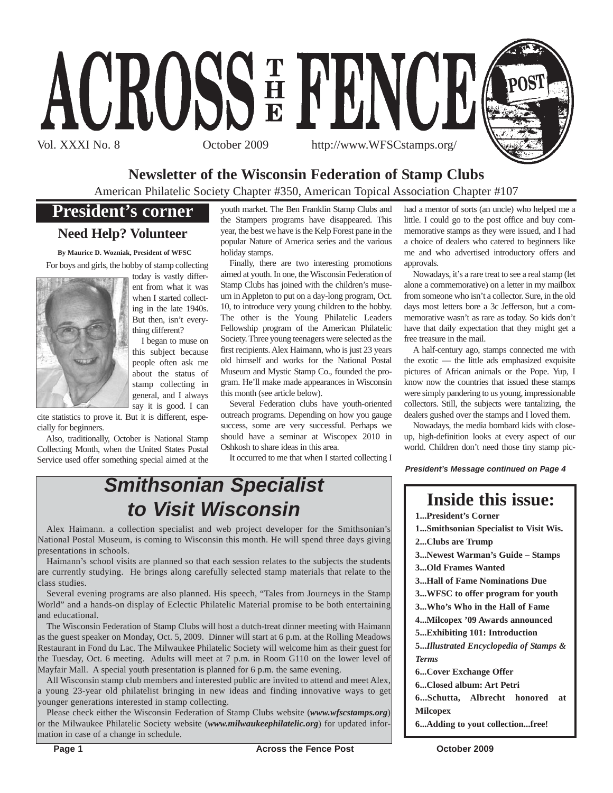

# **Newsletter of the Wisconsin Federation of Stamp Clubs**

American Philatelic Society Chapter #350, American Topical Association Chapter #107

# **President's corner**

## **Need Help? Volunteer**

**By Maurice D. Wozniak, President of WFSC** For boys and girls, the hobby of stamp collecting



I began to muse on this subject because people often ask me about the status of stamp collecting in general, and I always say it is good. I can

*Smithsonian Specialist*

*to Visit Wisconsin*

Alex Haimann. a collection specialist and web project developer for the Smithsonian's National Postal Museum, is coming to Wisconsin this month. He will spend three days giving

Haimann's school visits are planned so that each session relates to the subjects the students are currently studying. He brings along carefully selected stamp materials that relate to the

Several evening programs are also planned. His speech, "Tales from Journeys in the Stamp World" and a hands-on display of Eclectic Philatelic Material promise to be both entertaining

The Wisconsin Federation of Stamp Clubs will host a dutch-treat dinner meeting with Haimann as the guest speaker on Monday, Oct. 5, 2009. Dinner will start at 6 p.m. at the Rolling Meadows Restaurant in Fond du Lac. The Milwaukee Philatelic Society will welcome him as their guest for the Tuesday, Oct. 6 meeting. Adults will meet at 7 p.m. in Room G110 on the lower level of

All Wisconsin stamp club members and interested public are invited to attend and meet Alex, a young 23-year old philatelist bringing in new ideas and finding innovative ways to get

Mayfair Mall. A special youth presentation is planned for 6 p.m. the same evening.

cite statistics to prove it. But it is different, especially for beginners.

Also, traditionally, October is National Stamp Collecting Month, when the United States Postal Service used offer something special aimed at the

younger generations interested in stamp collecting.

mation in case of a change in schedule.

youth market. The Ben Franklin Stamp Clubs and the Stampers programs have disappeared. This year, the best we have is the Kelp Forest pane in the popular Nature of America series and the various holiday stamps.

Finally, there are two interesting promotions aimed at youth. In one, the Wisconsin Federation of Stamp Clubs has joined with the children's museum in Appleton to put on a day-long program, Oct. 10, to introduce very young children to the hobby. The other is the Young Philatelic Leaders Fellowship program of the American Philatelic Society. Three young teenagers were selected as the first recipients. Alex Haimann, who is just 23 years old himself and works for the National Postal Museum and Mystic Stamp Co., founded the program. He'll make made appearances in Wisconsin this month (see article below).

Several Federation clubs have youth-oriented outreach programs. Depending on how you gauge success, some are very successful. Perhaps we should have a seminar at Wiscopex 2010 in Oshkosh to share ideas in this area.

It occurred to me that when I started collecting I

had a mentor of sorts (an uncle) who helped me a little. I could go to the post office and buy commemorative stamps as they were issued, and I had a choice of dealers who catered to beginners like me and who advertised introductory offers and approvals.

Nowadays, it's a rare treat to see a real stamp (let alone a commemorative) on a letter in my mailbox from someone who isn't a collector. Sure, in the old days most letters bore a 3c Jefferson, but a commemorative wasn't as rare as today. So kids don't have that daily expectation that they might get a free treasure in the mail.

A half-century ago, stamps connected me with the exotic — the little ads emphasized exquisite pictures of African animals or the Pope. Yup, I know now the countries that issued these stamps were simply pandering to us young, impressionable collectors. Still, the subjects were tantalizing, the dealers gushed over the stamps and I loved them.

Nowadays, the media bombard kids with closeup, high-definition looks at every aspect of our world. Children don't need those tiny stamp pic-

*President's Message continued on Page 4*

# **Inside this issue:**

**1...President's Corner**

**1...Smithsonian Specialist to Visit Wis. 2...Clubs are Trump**

**3...Newest Warman's Guide – Stamps 3...Old Frames Wanted**

**3...Hall of Fame Nominations Due**

**3...WFSC to offer program for youth**

**3...Who's Who in the Hall of Fame**

**4...Milcopex '09 Awards announced**

**5...Exhibiting 101: Introduction**

**5...***Illustrated Encyclopedia of Stamps & Terms*

**6...Cover Exchange Offer**

**6...Closed album: Art Petri**

**6...Schutta, Albrecht honored at Milcopex**

**6...Adding to yout collection...free!**

Please check either the Wisconsin Federation of Stamp Clubs website (*www.wfscstamps.org*) or the Milwaukee Philatelic Society website (*www.milwaukeephilatelic.org*) for updated infor-

presentations in schools.

class studies.

and educational.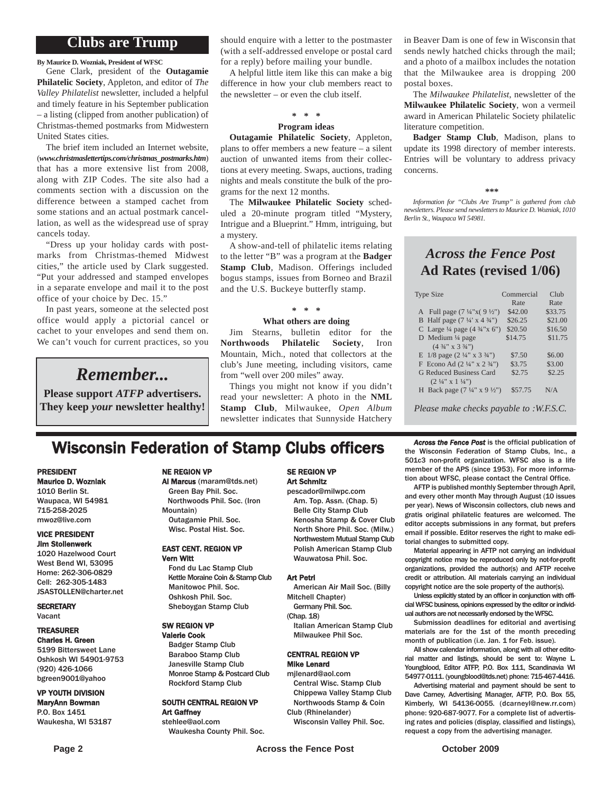## **Clubs are Trump**

**By Maurice D. Wozniak, President of WFSC**

Gene Clark, president of the **Outagamie Philatelic Society**, Appleton, and editor of *The Valley Philatelist* newsletter, included a helpful and timely feature in his September publication – a listing (clipped from another publication) of Christmas-themed postmarks from Midwestern United States cities.

The brief item included an Internet website, (*www.christmaslettertips.com/christmas\_postmarks.htm*) that has a more extensive list from 2008, along with ZIP Codes. The site also had a comments section with a discussion on the difference between a stamped cachet from some stations and an actual postmark cancellation, as well as the widespread use of spray cancels today.

"Dress up your holiday cards with postmarks from Christmas-themed Midwest cities," the article used by Clark suggested. "Put your addressed and stamped envelopes in a separate envelope and mail it to the post office of your choice by Dec. 15."

In past years, someone at the selected post office would apply a pictorial cancel or cachet to your envelopes and send them on. We can't vouch for current practices, so you

# *Remember...*

**Please support** *ATFP* **advertisers. They keep** *your* **newsletter healthy!** should enquire with a letter to the postmaster (with a self-addressed envelope or postal card for a reply) before mailing your bundle.

A helpful little item like this can make a big difference in how your club members react to the newsletter – or even the club itself.

#### **\* \* \***

#### **Program ideas**

**Outagamie Philatelic Society**, Appleton, plans to offer members a new feature – a silent auction of unwanted items from their collections at every meeting. Swaps, auctions, trading nights and meals constitute the bulk of the programs for the next 12 months.

The **Milwaukee Philatelic Society** scheduled a 20-minute program titled "Mystery, Intrigue and a Blueprint." Hmm, intriguing, but a mystery.

A show-and-tell of philatelic items relating to the letter "B" was a program at the **Badger Stamp Club**, Madison. Offerings included bogus stamps, issues from Borneo and Brazil and the U.S. Buckeye butterfly stamp.

#### **\* \* \***

#### **What others are doing**

Jim Stearns, bulletin editor for the **Northwoods Philatelic Society**, Iron Mountain, Mich., noted that collectors at the club's June meeting, including visitors, came from "well over 200 miles" away.

Things you might not know if you didn't read your newsletter: A photo in the **NML Stamp Club**, Milwaukee, *Open Album* newsletter indicates that Sunnyside Hatchery

in Beaver Dam is one of few in Wisconsin that sends newly hatched chicks through the mail; and a photo of a mailbox includes the notation that the Milwaukee area is dropping 200 postal boxes.

The *Milwaukee Philatelist*, newsletter of the **Milwaukee Philatelic Society**, won a vermeil award in American Philatelic Society philatelic literature competition.

**Badger Stamp Club**, Madison, plans to update its 1998 directory of member interests. Entries will be voluntary to address privacy concerns.

#### **\*\*\***

*Information for "Clubs Are Trump" is gathered from club newsletters. Please send newsletters to Maurice D. Wozniak, 1010 Berlin St., Waupaca WI 54981.*

### *Across the Fence Post* **Ad Rates (revised 1/06)**

| <b>Type Size</b>                                   | Commercial | Club    |
|----------------------------------------------------|------------|---------|
|                                                    | Rate       | Rate    |
| A Full page $(7\frac{1}{4}x(9\frac{1}{2})$         | \$42.00    | \$33.75 |
| B Half page $(7\frac{1}{4} \times 4\frac{3}{4})$   | \$26.25    | \$21.00 |
| C Large $\frac{1}{4}$ page $(4 \frac{3}{4} x 6'')$ | \$20.50    | \$16.50 |
| D Medium $\frac{1}{4}$ page                        | \$14.75    | \$11.75 |
| $(4\frac{3}{4}$ " x 3 $\frac{3}{4}$ ")             |            |         |
| E $1/8$ page $(2\frac{1}{4}$ " x $3\frac{3}{4}$ ") | \$7.50     | \$6.00  |
| F Econo Ad $(2\frac{1}{4}$ " x $2\frac{3}{4}$ ")   | \$3.75     | \$3.00  |
| <b>G Reduced Business Card</b>                     | \$2.75     | \$2.25  |
| $(2\frac{1}{4}$ " x 1 $\frac{1}{4}$ ")             |            |         |
| H Back page $(7\frac{1}{4}$ " x 9 $\frac{1}{2}$ ") | \$57.75    | N/A     |
|                                                    |            |         |

*Please make checks payable to :W.F.S.C.*

# **Wisconsin Federation of Stamp Clubs officers** *Across the Fence Post* is the official publication of stamp Clubs, Inc., a

#### PRESIDENT Maurice D. Wozniak

1010 Berlin St. Waupaca, WI 54981 715-258-2025 mwoz@live.com

#### VICE PRESIDENT Jim Stollenwerk

1020 Hazelwood Court West Bend WI, 53095 Home: 262-306-0829 Cell: 262-305-1483 JSASTOLLEN@charter.net

**SECRETARY** Vacant

#### TREASURER Charles H. Green

5199 Bittersweet Lane Oshkosh WI 54901-9753 (920) 426-1066 bgreen9001@yahoo

#### VP YOUTH DIVISION MaryAnn Bowman P.O. Box 1451 Waukesha, WI 53187

NE REGION VP

#### Al Marcus (maram@tds.net) Green Bay Phil. Soc. Northwoods Phil. Soc. (Iron Mountain)

Outagamie Phil. Soc. Wisc. Postal Hist. Soc.

#### EAST CENT. REGION VP Vern Witt

Fond du Lac Stamp Club Kettle Moraine Coin & Stamp Club Manitowoc Phil. Soc. Oshkosh Phil. Soc. Sheboygan Stamp Club

#### SW REGION VP

Valerie Cook Badger Stamp Club Baraboo Stamp Club Janesville Stamp Club Monroe Stamp & Postcard Club Rockford Stamp Club

#### SOUTH CENTRAL REGION VP Art Gaffney stehlee@aol.com

Waukesha County Phil. Soc.

#### SE REGION VP Art Schmitz

pescador@milwpc.com Am. Top. Assn. (Chap. 5) Belle City Stamp Club Kenosha Stamp & Cover Club North Shore Phil. Soc. (Milw.) Northwestern Mutual Stamp Club Polish American Stamp Club Wauwatosa Phil. Soc.

#### Art Petri

American Air Mail Soc. (Billy Mitchell Chapter)

- Germany Phil. Soc. (Chap. 18)
	- Italian American Stamp Club Milwaukee Phil Soc.

#### CENTRAL REGION VP Mike Lenard

mjlenard@aol.com Central Wisc. Stamp Club

- Chippewa Valley Stamp Club Northwoods Stamp & Coin Club (Rhinelander)
- Wisconsin Valley Phil. Soc.

the Wisconsin Federation of Stamp Clubs, Inc., a 501c3 non-profit organization. WFSC also is a life member of the APS (since 1953). For more information about WFSC, please contact the Central Office.

AFTP is published monthly September through April, and every other month May through August (10 issues per year). News of Wisconsin collectors, club news and gratis original philatelic features are welcomed. The editor accepts submissions in any format, but prefers email if possible. Editor reserves the right to make editorial changes to submitted copy.

Material appearing in AFTP not carrying an individual copyright notice may be reproduced only by not-for-profit organizations, provided the author(s) and AFTP receive credit or attribution. All materials carrying an individual copyright notice are the sole property of the author(s).

Unless explicitly stated by an officer in conjunction with official WFSC business, opinions expressed by the editor or individual authors are not necessarily endorsed by the WFSC.

Submission deadlines for editorial and avertising materials are for the 1st of the month preceding month of publication (i.e. Jan. 1 for Feb. issue).

All show calendar information, along with all other editorial matter and listings, should be sent to: Wayne L. Youngblood, Editor ATFP, P.O. Box 111, Scandinavia WI 54977-0111. (youngblood@tds.net) phone: 715-467-4416.

Advertising material and payment should be sent to Dave Carney, Advertising Manager, AFTP, P.O. Box 55, Kimberly, WI 54136-0055. (dcarneyl@new.rr.com) phone: 920-687-9077. For a complete list of advertising rates and policies (display, classified and listings), request a copy from the advertising manager.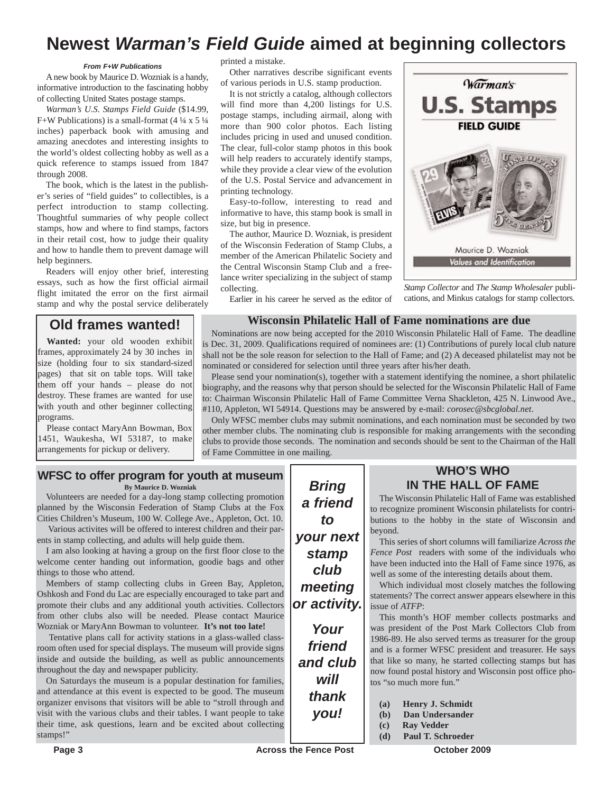# **Newest** *Warman's Field Guide* **aimed at beginning collectors**

#### *From F+W Publications*

A new book by Maurice D. Wozniak is a handy, informative introduction to the fascinating hobby of collecting United States postage stamps.

*Warman's U.S. Stamps Field Guide* (\$14.99, F+W Publications) is a small-format  $(4\frac{1}{4} \times 5\frac{1}{4})$ inches) paperback book with amusing and amazing anecdotes and interesting insights to the world's oldest collecting hobby as well as a quick reference to stamps issued from 1847 through 2008.

The book, which is the latest in the publisher's series of "field guides" to collectibles, is a perfect introduction to stamp collecting. Thoughtful summaries of why people collect stamps, how and where to find stamps, factors in their retail cost, how to judge their quality and how to handle them to prevent damage will help beginners.

Readers will enjoy other brief, interesting essays, such as how the first official airmail flight imitated the error on the first airmail stamp and why the postal service deliberately

#### **Old frames wanted!**

**Wanted:** your old wooden exhibit frames, approximately 24 by 30 inches in size (holding four to six standard-sized) pages) that sit on table tops. Will take them off your hands – please do not destroy. These frames are wanted for use with youth and other beginner collecting programs.

Please contact MaryAnn Bowman, Box 1451, Waukesha, WI 53187, to make arrangements for pickup or delivery.

printed a mistake.

Other narratives describe significant events of various periods in U.S. stamp production.

It is not strictly a catalog, although collectors will find more than 4,200 listings for U.S. postage stamps, including airmail, along with more than 900 color photos. Each listing includes pricing in used and unused condition. The clear, full-color stamp photos in this book will help readers to accurately identify stamps, while they provide a clear view of the evolution of the U.S. Postal Service and advancement in printing technology.

Easy-to-follow, interesting to read and informative to have, this stamp book is small in size, but big in presence.

The author, Maurice D. Wozniak, is president of the Wisconsin Federation of Stamp Clubs, a member of the American Philatelic Society and the Central Wisconsin Stamp Club and a freelance writer specializing in the subject of stamp collecting.

Earlier in his career he served as the editor of



*Stamp Collector* and *The Stamp Wholesaler* publications, and Minkus catalogs for stamp collectors.

#### **Wisconsin Philatelic Hall of Fame nominations are due**

Nominations are now being accepted for the 2010 Wisconsin Philatelic Hall of Fame. The deadline is Dec. 31, 2009. Qualifications required of nominees are: (1) Contributions of purely local club nature shall not be the sole reason for selection to the Hall of Fame; and (2) A deceased philatelist may not be nominated or considered for selection until three years after his/her death.

Please send your nomination(s), together with a statement identifying the nominee, a short philatelic biography, and the reasons why that person should be selected for the Wisconsin Philatelic Hall of Fame to: Chairman Wisconsin Philatelic Hall of Fame Committee Verna Shackleton, 425 N. Linwood Ave., #110, Appleton, WI 54914. Questions may be answered by e-mail: *corosec@sbcglobal.net*.

Only WFSC member clubs may submit nominations, and each nomination must be seconded by two other member clubs. The nominating club is responsible for making arrangements with the seconding clubs to provide those seconds. The nomination and seconds should be sent to the Chairman of the Hall of Fame Committee in one mailing.

# **WFSC to offer program for youth at museum**

**By Maurice D. Wozniak**

Volunteers are needed for a day-long stamp collecting promotion planned by the Wisconsin Federation of Stamp Clubs at the Fox Cities Children's Museum, 100 W. College Ave., Appleton, Oct. 10.

Various activites will be offered to interest children and their parents in stamp collecting, and adults will help guide them.

I am also looking at having a group on the first floor close to the welcome center handing out information, goodie bags and other things to those who attend.

Members of stamp collecting clubs in Green Bay, Appleton, Oshkosh and Fond du Lac are especially encouraged to take part and promote their clubs and any additional youth activities. Collectors from other clubs also will be needed. Please contact Maurice Wozniak or MaryAnn Bowman to volunteer. **It's not too late!**

Tentative plans call for activity stations in a glass-walled classroom often used for special displays. The museum will provide signs inside and outside the building, as well as public announcements throughout the day and newspaper publicity.

On Saturdays the museum is a popular destination for families, and attendance at this event is expected to be good. The museum organizer envisons that visitors will be able to "stroll through and visit with the various clubs and their tables. I want people to take their time, ask questions, learn and be excited about collecting stamps!"

*Bring a friend to your next stamp club meeting or activity.*

*Your friend and club will thank you!*

#### **WHO'S WHO IN THE HALL OF FAME**

The Wisconsin Philatelic Hall of Fame was established to recognize prominent Wisconsin philatelists for contributions to the hobby in the state of Wisconsin and beyond.

This series of short columns will familiarize *Across the Fence Post* readers with some of the individuals who have been inducted into the Hall of Fame since 1976, as well as some of the interesting details about them.

Which individual most closely matches the following statements? The correct answer appears elsewhere in this issue of *ATFP*:

This month's HOF member collects postmarks and was president of the Post Mark Collectors Club from 1986-89. He also served terms as treasurer for the group and is a former WFSC president and treasurer. He says that like so many, he started collecting stamps but has now found postal history and Wisconsin post office photos "so much more fun."

**(a) Henry J. Schmidt**

- **(b) Dan Undersander**
- **(c) Ray Vedder**
- **(d) Paul T. Schroeder**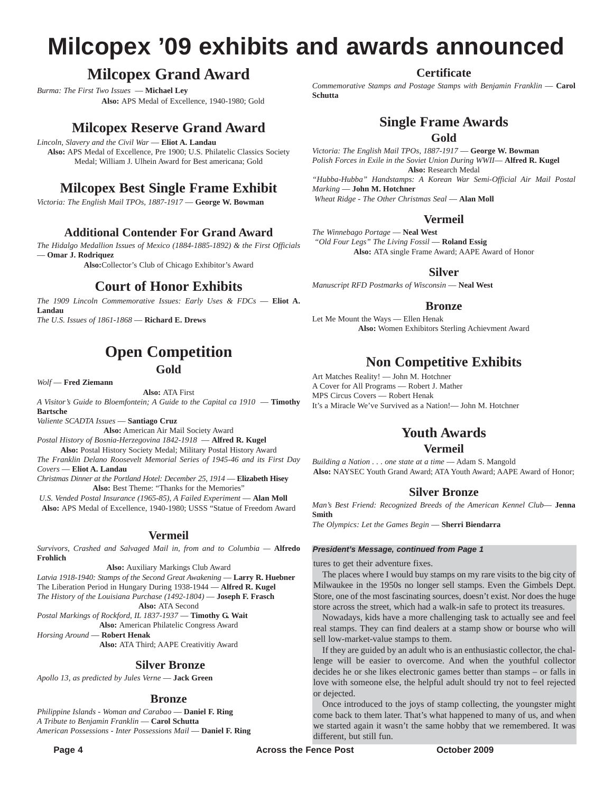# **Milcopex '09 exhibits and awards announced**

# **Milcopex Grand Award**

*Burma: The First Two Issues* — **Michael Ley Also:** APS Medal of Excellence, 1940-1980; Gold

# **Milcopex Reserve Grand Award**

*Lincoln, Slavery and the Civil War* — **Eliot A. Landau Also:** APS Medal of Excellence, Pre 1900; U.S. Philatelic Classics Society Medal; William J. Ulhein Award for Best americana; Gold

# **Milcopex Best Single Frame Exhibit**

*Victoria: The English Mail TPOs, 1887-1917* — **George W. Bowman**

#### **Additional Contender For Grand Award**

*The Hidalgo Medallion Issues of Mexico (1884-1885-1892) & the First Officials* — **Omar J. Rodriquez**

**Also:**Collector's Club of Chicago Exhibitor's Award

## **Court of Honor Exhibits**

*The 1909 Lincoln Commemorative Issues: Early Uses & FDCs* — **Eliot A. Landau** *The U.S. Issues of 1861-1868* — **Richard E. Drews**

## **Open Competition Gold**

*Wolf* — **Fred Ziemann**

**Also:** ATA First

*A Visitor's Guide to Bloemfontein; A Guide to the Capital ca 1910* — **Timothy Bartsche**

*Valiente SCADTA Issues* — **Santiago Cruz**

**Also:** American Air Mail Society Award *Postal History of Bosnia-Herzegovina 1842-1918* — **Alfred R. Kugel Also:** Postal History Society Medal; Military Postal History Award

*The Franklin Delano Roosevelt Memorial Series of 1945-46 and its First Day Covers* — **Eliot A. Landau**

*Christmas Dinner at the Portland Hotel: December 25, 1914* — **Elizabeth Hisey** Also: Best Theme: "Thanks for the Memories"

U.S. Vended Postal Insurance (1965-85), A Failed Experiment - Alan Moll **Also:** APS Medal of Excellence, 1940-1980; USSS "Statue of Freedom Award

#### **Vermeil**

*Survivors, Crashed and Salvaged Mail in, from and to Columbia —* **Alfredo Frohlich**

**Also:** Auxiliary Markings Club Award *Latvia 1918-1940: Stamps of the Second Great Awakening* — **Larry R. Huebner** The Liberation Period in Hungary During 1938-1944 — **Alfred R. Kugel** *The History of the Louisiana Purchase (1492-1804)* — **Joseph F. Frasch Also:** ATA Second

*Postal Markings of Rockford, IL 1837-1937* — **Timothy G. Wait Also:** American Philatelic Congress Award

*Horsing Around* — **Robert Henak**

**Also:** ATA Third; AAPE Creativitiy Award

#### **Silver Bronze**

*Apollo 13, as predicted by Jules Verne* — **Jack Green**

#### **Bronze**

*Philippine Islands - Woman and Carabao* — **Daniel F. Ring** *A Tribute to Benjamin Franklin* — **Carol Schutta** *American Possessions - Inter Possessions Mail* — **Daniel F. Ring** **Certificate**

*Commemorative Stamps and Postage Stamps with Benjamin Franklin* — **Carol Schutta**

# **Single Frame Awards**

**Gold**

*Victoria: The English Mail TPOs, 1887-1917* — **George W. Bowman** *Polish Forces in Exile in the Soviet Union During WWII*— **Alfred R. Kugel Also:** Research Medal *"Hubba-Hubba" Handstamps: A Korean War Semi-Official Air Mail Postal Marking* — **John M. Hotchner**

*Wheat Ridge - The Other Christmas Seal* — **Alan Moll**

#### **Vermeil**

*The Winnebago Portage* — **Neal West** *"Old Four Legs" The Living Fossil* — **Roland Essig Also:** ATA single Frame Award; AAPE Award of Honor

#### **Silver**

*Manuscript RFD Postmarks of Wisconsin* — **Neal West**

#### **Bronze**

Let Me Mount the Ways — Ellen Henak **Also:** Women Exhibitors Sterling Achievment Award

# **Non Competitive Exhibits**

Art Matches Reality! — John M. Hotchner A Cover for All Programs — Robert J. Mather MPS Circus Covers — Robert Henak It's a Miracle We've Survived as a Nation!— John M. Hotchner

## **Youth Awards**

#### **Vermeil**

*Building a Nation . . . one state at a time* — Adam S. Mangold **Also:** NAYSEC Youth Grand Award; ATA Youth Award; AAPE Award of Honor;

#### **Silver Bronze**

*Man's Best Friend: Recognized Breeds of the American Kennel Club*— **Jenna Smith**

*The Olympics: Let the Games Begin* — **Sherri Biendarra**

#### *President's Message, continued from Page 1*

tures to get their adventure fixes.

The places where I would buy stamps on my rare visits to the big city of Milwaukee in the 1950s no longer sell stamps. Even the Gimbels Dept. Store, one of the most fascinating sources, doesn't exist. Nor does the huge store across the street, which had a walk-in safe to protect its treasures.

Nowadays, kids have a more challenging task to actually see and feel real stamps. They can find dealers at a stamp show or bourse who will sell low-market-value stamps to them.

If they are guided by an adult who is an enthusiastic collector, the challenge will be easier to overcome. And when the youthful collector decides he or she likes electronic games better than stamps – or falls in love with someone else, the helpful adult should try not to feel rejected or dejected.

Once introduced to the joys of stamp collecting, the youngster might come back to them later. That's what happened to many of us, and when we started again it wasn't the same hobby that we remembered. It was different, but still fun.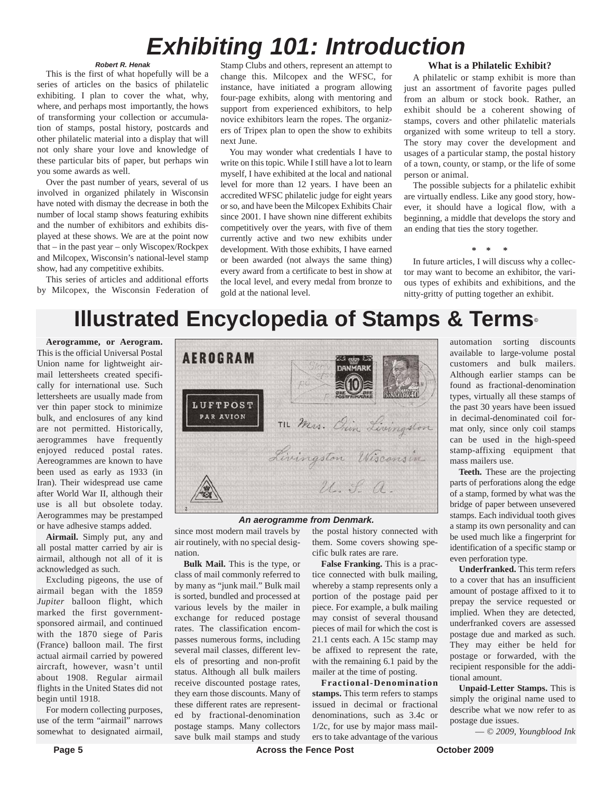# *Exhibiting 101: Introduction*

#### *Robert R. Henak*

This is the first of what hopefully will be a series of articles on the basics of philatelic exhibiting. I plan to cover the what, why, where, and perhaps most importantly, the hows of transforming your collection or accumulation of stamps, postal history, postcards and other philatelic material into a display that will not only share your love and knowledge of these particular bits of paper, but perhaps win you some awards as well.

Over the past number of years, several of us involved in organized philately in Wisconsin have noted with dismay the decrease in both the number of local stamp shows featuring exhibits and the number of exhibitors and exhibits displayed at these shows. We are at the point now that – in the past year – only Wiscopex/Rockpex and Milcopex, Wisconsin's national-level stamp show, had any competitive exhibits.

This series of articles and additional efforts by Milcopex, the Wisconsin Federation of

Stamp Clubs and others, represent an attempt to change this. Milcopex and the WFSC, for instance, have initiated a program allowing four-page exhibits, along with mentoring and support from experienced exhibitors, to help novice exhibitors learn the ropes. The organizers of Tripex plan to open the show to exhibits next June.

You may wonder what credentials I have to write on this topic. While I still have a lot to learn myself, I have exhibited at the local and national level for more than 12 years. I have been an accredited WFSC philatelic judge for eight years or so, and have been the Milcopex Exhibits Chair since 2001. I have shown nine different exhibits competitively over the years, with five of them currently active and two new exhibits under development. With those exhibits, I have earned or been awarded (not always the same thing) every award from a certificate to best in show at the local level, and every medal from bronze to gold at the national level.

#### **What is a Philatelic Exhibit?**

A philatelic or stamp exhibit is more than just an assortment of favorite pages pulled from an album or stock book. Rather, an exhibit should be a coherent showing of stamps, covers and other philatelic materials organized with some writeup to tell a story. The story may cover the development and usages of a particular stamp, the postal history of a town, county, or stamp, or the life of some person or animal.

The possible subjects for a philatelic exhibit are virtually endless. Like any good story, however, it should have a logical flow, with a beginning, a middle that develops the story and an ending that ties the story together.

#### **\* \* \***

In future articles, I will discuss why a collector may want to become an exhibitor, the various types of exhibits and exhibitions, and the nitty-gritty of putting together an exhibit.

# **Illustrated Encyclopedia of Stamps & Terms©**

**Aerogramme, or Aerogram.** This is the official Universal Postal Union name for lightweight airmail lettersheets created specifically for international use. Such lettersheets are usually made from ver thin paper stock to minimize bulk, and enclosures of any kind are not permitted. Historically, aerogrammes have frequently enjoyed reduced postal rates. Aereogrammes are known to have been used as early as 1933 (in Iran). Their widespread use came after World War II, although their use is all but obsolete today. Aerogrammes may be prestamped or have adhesive stamps added.

**Airmail.** Simply put, any and all postal matter carried by air is airmail, although not all of it is acknowledged as such.

Excluding pigeons, the use of airmail began with the 1859 *Jupiter* balloon flight, which marked the first governmentsponsored airmail, and continued with the 1870 siege of Paris (France) balloon mail. The first actual airmail carried by powered aircraft, however, wasn't until about 1908. Regular airmail flights in the United States did not begin until 1918.

For modern collecting purposes, use of the term "airmail" narrows somewhat to designated airmail,



#### *An aerogramme from Denmark.*

since most modern mail travels by air routinely, with no special designation.

**Bulk Mail.** This is the type, or class of mail commonly referred to by many as "junk mail." Bulk mail is sorted, bundled and processed at various levels by the mailer in exchange for reduced postage rates. The classification encompasses numerous forms, including several mail classes, different levels of presorting and non-profit status. Although all bulk mailers receive discounted postage rates, they earn those discounts. Many of these different rates are represented by fractional-denomination postage stamps. Many collectors save bulk mail stamps and study

the postal history connected with them. Some covers showing specific bulk rates are rare.

**False Franking.** This is a practice connected with bulk mailing, whereby a stamp represents only a portion of the postage paid per piece. For example, a bulk mailing may consist of several thousand pieces of mail for which the cost is 21.1 cents each. A 15c stamp may be affixed to represent the rate, with the remaining 6.1 paid by the mailer at the time of posting.

**Fractional-Denomination stamps.** This term refers to stamps issued in decimal or fractional denominations, such as 3.4c or 1/2c, for use by major mass mailers to take advantage of the various automation sorting discounts available to large-volume postal customers and bulk mailers. Although earlier stamps can be found as fractional-denomination types, virtually all these stamps of the past 30 years have been issued in decimal-denominated coil format only, since only coil stamps can be used in the high-speed stamp-affixing equipment that mass mailers use.

**Teeth.** These are the projecting parts of perforations along the edge of a stamp, formed by what was the bridge of paper between unsevered stamps. Each individual tooth gives a stamp its own personality and can be used much like a fingerprint for identification of a specific stamp or even perforation type.

**Underfranked.** This term refers to a cover that has an insufficient amount of postage affixed to it to prepay the service requested or implied. When they are detected, underfranked covers are assessed postage due and marked as such. They may either be held for postage or forwarded, with the recipient responsible for the additional amount.

**Unpaid-Letter Stamps.** This is simply the original name used to describe what we now refer to as postage due issues.

— *© 2009, Youngblood Ink*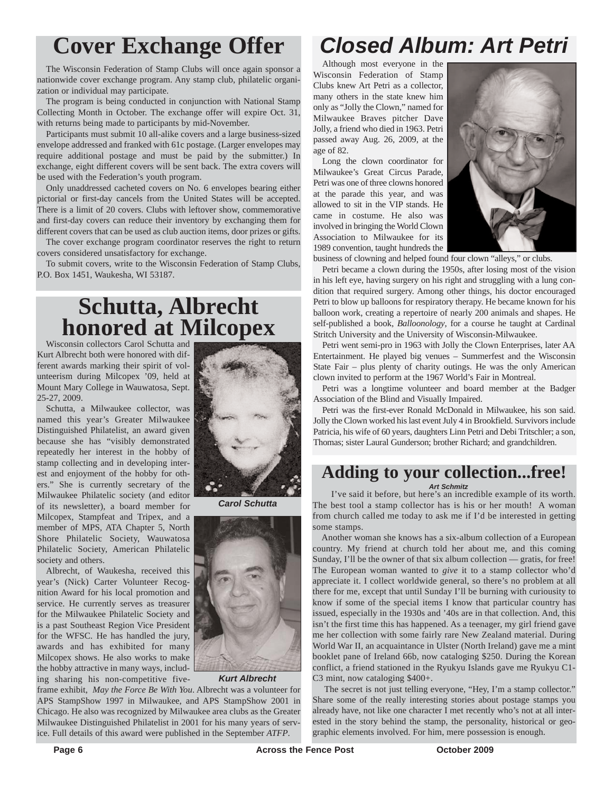The Wisconsin Federation of Stamp Clubs will once again sponsor a nationwide cover exchange program. Any stamp club, philatelic organization or individual may participate.

The program is being conducted in conjunction with National Stamp Collecting Month in October. The exchange offer will expire Oct. 31, with returns being made to participants by mid-November.

Participants must submit 10 all-alike covers and a large business-sized envelope addressed and franked with 61c postage. (Larger envelopes may require additional postage and must be paid by the submitter.) In exchange, eight different covers will be sent back. The extra covers will be used with the Federation's youth program.

Only unaddressed cacheted covers on No. 6 envelopes bearing either pictorial or first-day cancels from the United States will be accepted. There is a limit of 20 covers. Clubs with leftover show, commemorative and first-day covers can reduce their inventory by exchanging them for different covers that can be used as club auction items, door prizes or gifts.

The cover exchange program coordinator reserves the right to return covers considered unsatisfactory for exchange.

To submit covers, write to the Wisconsin Federation of Stamp Clubs, P.O. Box 1451, Waukesha, WI 53187.

# **Schutta, Albrecht honored at Milcopex**

Wisconsin collectors Carol Schutta and Kurt Albrecht both were honored with different awards marking their spirit of volunteerism during Milcopex '09, held at Mount Mary College in Wauwatosa, Sept. 25-27, 2009.

Schutta, a Milwaukee collector, was named this year's Greater Milwaukee Distinguished Philatelist, an award given because she has "visibly demonstrated repeatedly her interest in the hobby of stamp collecting and in developing interest and enjoyment of the hobby for others." She is currently secretary of the Milwaukee Philatelic society (and editor of its newsletter), a board member for Milcopex, Stampfeat and Tripex, and a member of MPS, ATA Chapter 5, North Shore Philatelic Society, Wauwatosa Philatelic Society, American Philatelic society and others.

Albrecht, of Waukesha, received this year's (Nick) Carter Volunteer Recognition Award for his local promotion and service. He currently serves as treasurer for the Milwaukee Philatelic Society and is a past Southeast Region Vice President for the WFSC. He has handled the jury, awards and has exhibited for many Milcopex shows. He also works to make the hobby attractive in many ways, including sharing his non-competitive five-



*Carol Schutta*



*Kurt Albrecht*

frame exhibit, *May the Force Be With You*. Albrecht was a volunteer for APS StampShow 1997 in Milwaukee, and APS StampShow 2001 in Chicago. He also was recognized by Milwaukee area clubs as the Greater Milwaukee Distinguished Philatelist in 2001 for his many years of service. Full details of this award were published in the September *ATFP*.

# **Cover Exchange Offer** *Closed Album: Art Petri*

Although most everyone in the Wisconsin Federation of Stamp Clubs knew Art Petri as a collector, many others in the state knew him only as "Jolly the Clown," named for Milwaukee Braves pitcher Dave Jolly, a friend who died in 1963. Petri passed away Aug. 26, 2009, at the age of 82.

Long the clown coordinator for Milwaukee's Great Circus Parade, Petri was one of three clowns honored at the parade this year, and was allowed to sit in the VIP stands. He came in costume. He also was involved in bringing the World Clown Association to Milwaukee for its 1989 convention, taught hundreds the



business of clowning and helped found four clown "alleys," or clubs.

Petri became a clown during the 1950s, after losing most of the vision in his left eye, having surgery on his right and struggling with a lung condition that required surgery. Among other things, his doctor encouraged Petri to blow up balloons for respiratory therapy. He became known for his balloon work, creating a repertoire of nearly 200 animals and shapes. He self-published a book, *Balloonology*, for a course he taught at Cardinal Stritch University and the University of Wisconsin-Milwaukee.

Petri went semi-pro in 1963 with Jolly the Clown Enterprises, later AA Entertainment. He played big venues – Summerfest and the Wisconsin State Fair – plus plenty of charity outings. He was the only American clown invited to perform at the 1967 World's Fair in Montreal.

Petri was a longtime volunteer and board member at the Badger Association of the Blind and Visually Impaired.

Petri was the first-ever Ronald McDonald in Milwaukee, his son said. Jolly the Clown worked his last event July 4 in Brookfield. Survivors include Patricia, his wife of 60 years, daughters Linn Petri and Debi Tritschler; a son, Thomas; sister Laural Gunderson; brother Richard; and grandchildren.

#### **Adding to your collection...free!** *Art Schmitz*

I've said it before, but here's an incredible example of its worth. The best tool a stamp collector has is his or her mouth! A woman from church called me today to ask me if I'd be interested in getting some stamps.

Another woman she knows has a six-album collection of a European country. My friend at church told her about me, and this coming Sunday, I'll be the owner of that six album collection — gratis, for free! The European woman wanted to *give* it to a stamp collector who'd appreciate it. I collect worldwide general, so there's no problem at all there for me, except that until Sunday I'll be burning with curiousity to know if some of the special items I know that particular country has issued, especially in the 1930s and '40s are in that collection. And, this isn't the first time this has happened. As a teenager, my girl friend gave me her collection with some fairly rare New Zealand material. During World War II, an acquaintance in Ulster (North Ireland) gave me a mint booklet pane of Ireland 66b, now cataloging \$250. During the Korean conflict, a friend stationed in the Ryukyu Islands gave me Ryukyu C1- C3 mint, now cataloging \$400+.

The secret is not just telling everyone, "Hey, I'm a stamp collector." Share some of the really interesting stories about postage stamps you already have, not like one character I met recently who's not at all interested in the story behind the stamp, the personality, historical or geographic elements involved. For him, mere possession is enough.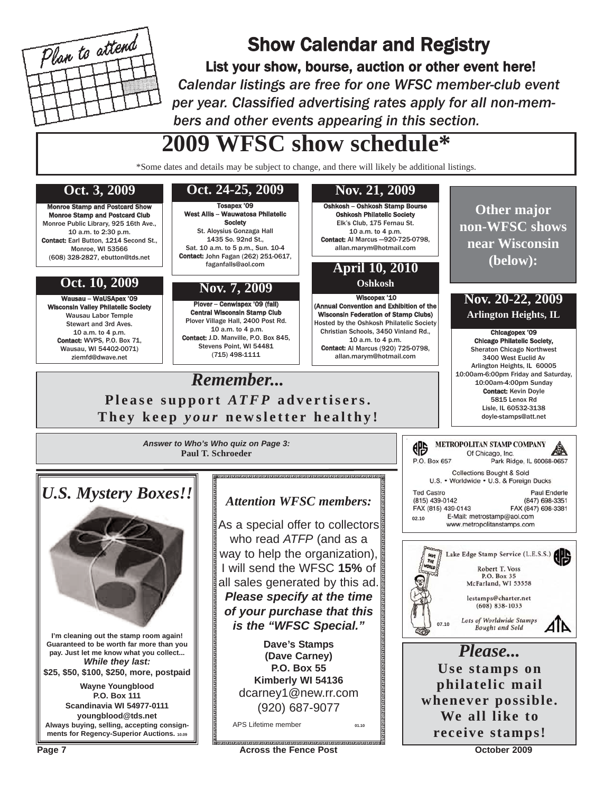

# Show Calendar and Registry

List your show, bourse, auction or other event here! *Calendar listings are free for one WFSC member-club event per year. Classified advertising rates apply for all non-members and other events appearing in this section.*

# **2009 WFSC show schedule\***

\*Some dates and details may be subject to change, and there will likely be additional listings.